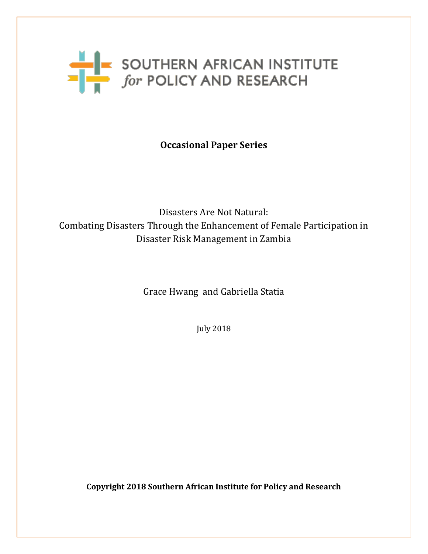

**Occasional Paper Series**

# Disasters Are Not Natural: Combating Disasters Through the Enhancement of Female Participation in Disaster Risk Management in Zambia

Grace Hwang and Gabriella Statia

July 2018

**Copyright 2018 Southern African Institute for Policy and Research**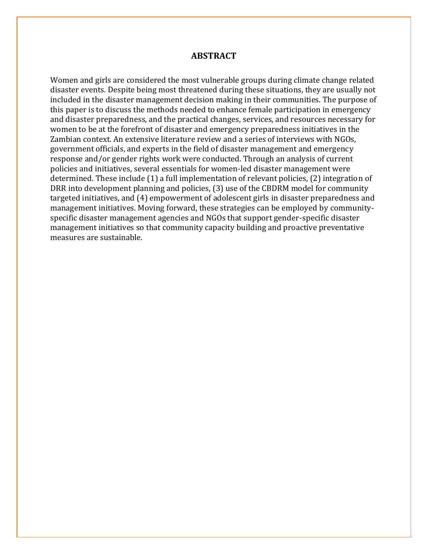### **ABSTRACT**

Women and girls are considered the most vulnerable groups during climate change related disaster events. Despite being most threatened during these situations, they are usually not included in the disaster management decision making in their communities. The purpose of this paper is to discuss the methods needed to enhance female participation in emergency and disaster preparedness, and the practical changes, services, and resources necessary for women to be at the forefront of disaster and emergency preparedness initiatives in the Zambian context. An extensive literature review and a series of interviews with NGOs, government officials, and experts in the field of disaster management and emergency response and/or gender rights work were conducted. Through an analysis of current policies and initiatives, several essentials for women-led disaster management were determined. These include (1) a full implementation of relevant policies, (2) integration of DRR into development planning and policies, (3) use of the CBDRM model for community targeted initiatives, and (4) empowerment of adolescent girls in disaster preparedness and management initiatives. Moving forward, these strategies can be employed by communityspecific disaster management agencies and NGOs that support gender-specific disaster management initiatives so that community capacity building and proactive preventative measures are sustainable.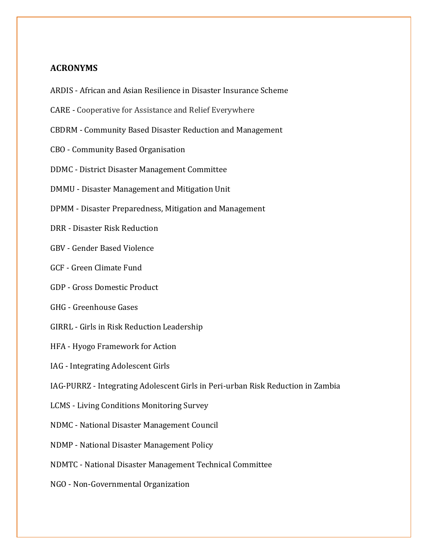### **ACRONYMS**

- ARDIS African and Asian Resilience in Disaster Insurance Scheme
- CARE Cooperative for Assistance and Relief Everywhere
- CBDRM Community Based Disaster Reduction and Management
- CBO Community Based Organisation
- DDMC District Disaster Management Committee
- DMMU Disaster Management and Mitigation Unit
- DPMM Disaster Preparedness, Mitigation and Management
- DRR Disaster Risk Reduction
- GBV Gender Based Violence
- GCF Green Climate Fund
- GDP Gross Domestic Product
- GHG Greenhouse Gases
- GIRRL Girls in Risk Reduction Leadership
- HFA Hyogo Framework for Action
- IAG Integrating Adolescent Girls
- IAG-PURRZ Integrating Adolescent Girls in Peri-urban Risk Reduction in Zambia
- LCMS Living Conditions Monitoring Survey
- NDMC National Disaster Management Council
- NDMP National Disaster Management Policy
- NDMTC National Disaster Management Technical Committee
- NGO Non-Governmental Organization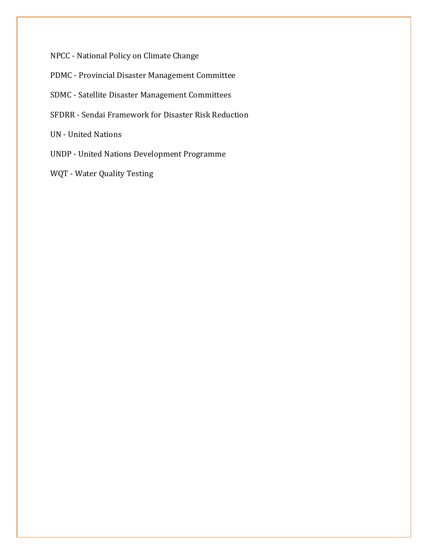NPCC - National Policy on Climate Change

PDMC - Provincial Disaster Management Committee

SDMC - Satellite Disaster Management Committees

SFDRR - Sendai Framework for Disaster Risk Reduction

UN - United Nations

UNDP - United Nations Development Programme

WQT - Water Quality Testing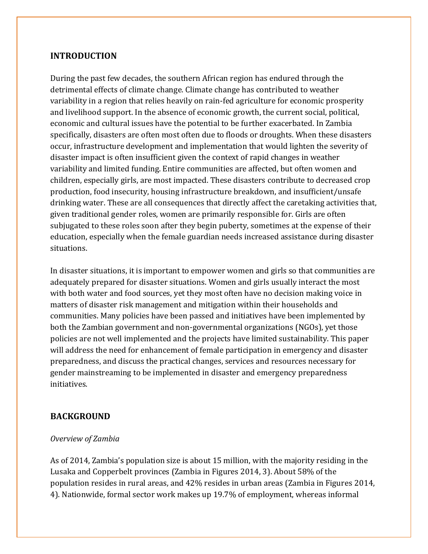### **INTRODUCTION**

During the past few decades, the southern African region has endured through the detrimental effects of climate change. Climate change has contributed to weather variability in a region that relies heavily on rain-fed agriculture for economic prosperity and livelihood support. In the absence of economic growth, the current social, political, economic and cultural issues have the potential to be further exacerbated. In Zambia specifically, disasters are often most often due to floods or droughts. When these disasters occur, infrastructure development and implementation that would lighten the severity of disaster impact is often insufficient given the context of rapid changes in weather variability and limited funding. Entire communities are affected, but often women and children, especially girls, are most impacted. These disasters contribute to decreased crop production, food insecurity, housing infrastructure breakdown, and insufficient/unsafe drinking water. These are all consequences that directly affect the caretaking activities that, given traditional gender roles, women are primarily responsible for. Girls are often subjugated to these roles soon after they begin puberty, sometimes at the expense of their education, especially when the female guardian needs increased assistance during disaster situations.

In disaster situations, it is important to empower women and girls so that communities are adequately prepared for disaster situations. Women and girls usually interact the most with both water and food sources, yet they most often have no decision making voice in matters of disaster risk management and mitigation within their households and communities. Many policies have been passed and initiatives have been implemented by both the Zambian government and non-governmental organizations (NGOs), yet those policies are not well implemented and the projects have limited sustainability. This paper will address the need for enhancement of female participation in emergency and disaster preparedness, and discuss the practical changes, services and resources necessary for gender mainstreaming to be implemented in disaster and emergency preparedness initiatives.

# **BACKGROUND**

### *Overview of Zambia*

As of 2014, Zambia's population size is about 15 million, with the majority residing in the Lusaka and Copperbelt provinces (Zambia in Figures 2014, 3). About 58% of the population resides in rural areas, and 42% resides in urban areas (Zambia in Figures 2014, 4). Nationwide, formal sector work makes up 19.7% of employment, whereas informal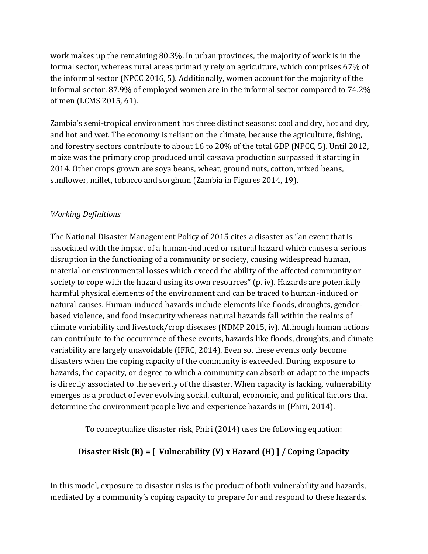work makes up the remaining 80.3%. In urban provinces, the majority of work is in the formal sector, whereas rural areas primarily rely on agriculture, which comprises 67% of the informal sector (NPCC 2016, 5). Additionally, women account for the majority of the informal sector. 87.9% of employed women are in the informal sector compared to 74.2% of men (LCMS 2015, 61).

Zambia's semi-tropical environment has three distinct seasons: cool and dry, hot and dry, and hot and wet. The economy is reliant on the climate, because the agriculture, fishing, and forestry sectors contribute to about 16 to 20% of the total GDP (NPCC, 5). Until 2012, maize was the primary crop produced until cassava production surpassed it starting in 2014. Other crops grown are soya beans, wheat, ground nuts, cotton, mixed beans, sunflower, millet, tobacco and sorghum (Zambia in Figures 2014, 19).

# *Working Definitions*

The National Disaster Management Policy of 2015 cites a disaster as "an event that is associated with the impact of a human-induced or natural hazard which causes a serious disruption in the functioning of a community or society, causing widespread human, material or environmental losses which exceed the ability of the affected community or society to cope with the hazard using its own resources" (p. iv). Hazards are potentially harmful physical elements of the environment and can be traced to human-induced or natural causes. Human-induced hazards include elements like floods, droughts, genderbased violence, and food insecurity whereas natural hazards fall within the realms of climate variability and livestock/crop diseases (NDMP 2015, iv). Although human actions can contribute to the occurrence of these events, hazards like floods, droughts, and climate variability are largely unavoidable (IFRC, 2014). Even so, these events only become disasters when the coping capacity of the community is exceeded. During exposure to hazards, the capacity, or degree to which a community can absorb or adapt to the impacts is directly associated to the severity of the disaster. When capacity is lacking, vulnerability emerges as a product of ever evolving social, cultural, economic, and political factors that determine the environment people live and experience hazards in (Phiri, 2014).

To conceptualize disaster risk, Phiri (2014) uses the following equation:

# **Disaster Risk (R) = [ Vulnerability (V) x Hazard (H) ] / Coping Capacity**

In this model, exposure to disaster risks is the product of both vulnerability and hazards, mediated by a community's coping capacity to prepare for and respond to these hazards.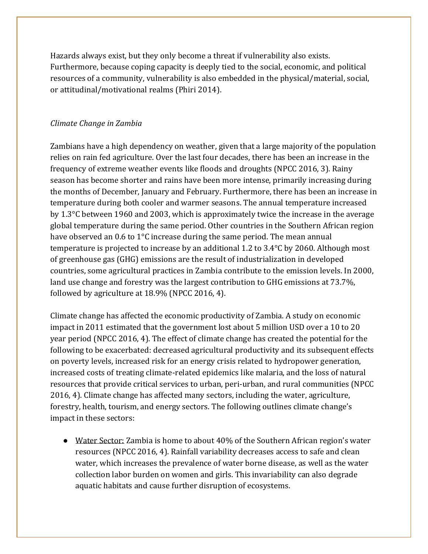Hazards always exist, but they only become a threat if vulnerability also exists. Furthermore, because coping capacity is deeply tied to the social, economic, and political resources of a community, vulnerability is also embedded in the physical/material, social, or attitudinal/motivational realms (Phiri 2014).

# *Climate Change in Zambia*

Zambians have a high dependency on weather, given that a large majority of the population relies on rain fed agriculture. Over the last four decades, there has been an increase in the frequency of extreme weather events like floods and droughts (NPCC 2016, 3). Rainy season has become shorter and rains have been more intense, primarily increasing during the months of December, January and February. Furthermore, there has been an increase in temperature during both cooler and warmer seasons. The annual temperature increased by 1.3°C between 1960 and 2003, which is approximately twice the increase in the average global temperature during the same period. Other countries in the Southern African region have observed an 0.6 to 1°C increase during the same period. The mean annual temperature is projected to increase by an additional 1.2 to 3.4°C by 2060. Although most of greenhouse gas (GHG) emissions are the result of industrialization in developed countries, some agricultural practices in Zambia contribute to the emission levels. In 2000, land use change and forestry was the largest contribution to GHG emissions at 73.7%, followed by agriculture at 18.9% (NPCC 2016, 4).

Climate change has affected the economic productivity of Zambia. A study on economic impact in 2011 estimated that the government lost about 5 million USD over a 10 to 20 year period (NPCC 2016, 4). The effect of climate change has created the potential for the following to be exacerbated: decreased agricultural productivity and its subsequent effects on poverty levels, increased risk for an energy crisis related to hydropower generation, increased costs of treating climate-related epidemics like malaria, and the loss of natural resources that provide critical services to urban, peri-urban, and rural communities (NPCC 2016, 4). Climate change has affected many sectors, including the water, agriculture, forestry, health, tourism, and energy sectors. The following outlines climate change's impact in these sectors:

● Water Sector: Zambia is home to about 40% of the Southern African region's water resources (NPCC 2016, 4). Rainfall variability decreases access to safe and clean water, which increases the prevalence of water borne disease, as well as the water collection labor burden on women and girls. This invariability can also degrade aquatic habitats and cause further disruption of ecosystems.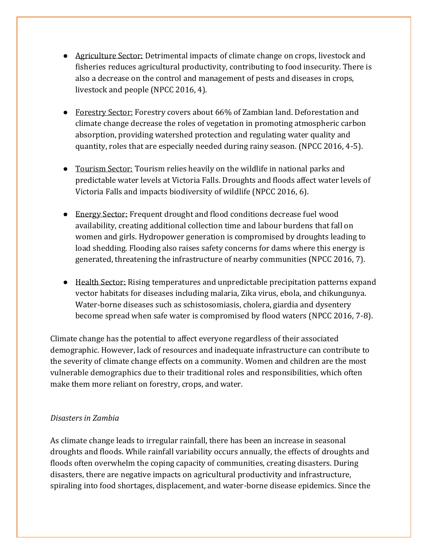- Agriculture Sector: Detrimental impacts of climate change on crops, livestock and fisheries reduces agricultural productivity, contributing to food insecurity. There is also a decrease on the control and management of pests and diseases in crops, livestock and people (NPCC 2016, 4).
- Forestry Sector: Forestry covers about 66% of Zambian land. Deforestation and climate change decrease the roles of vegetation in promoting atmospheric carbon absorption, providing watershed protection and regulating water quality and quantity, roles that are especially needed during rainy season. (NPCC 2016, 4-5).
- Tourism Sector: Tourism relies heavily on the wildlife in national parks and predictable water levels at Victoria Falls. Droughts and floods affect water levels of Victoria Falls and impacts biodiversity of wildlife (NPCC 2016, 6).
- Energy Sector: Frequent drought and flood conditions decrease fuel wood availability, creating additional collection time and labour burdens that fall on women and girls. Hydropower generation is compromised by droughts leading to load shedding. Flooding also raises safety concerns for dams where this energy is generated, threatening the infrastructure of nearby communities (NPCC 2016, 7).
- Health Sector: Rising temperatures and unpredictable precipitation patterns expand vector habitats for diseases including malaria, Zika virus, ebola, and chikungunya. Water-borne diseases such as schistosomiasis, cholera, giardia and dysentery become spread when safe water is compromised by flood waters (NPCC 2016, 7-8).

Climate change has the potential to affect everyone regardless of their associated demographic. However, lack of resources and inadequate infrastructure can contribute to the severity of climate change effects on a community. Women and children are the most vulnerable demographics due to their traditional roles and responsibilities, which often make them more reliant on forestry, crops, and water.

### *Disasters in Zambia*

As climate change leads to irregular rainfall, there has been an increase in seasonal droughts and floods. While rainfall variability occurs annually, the effects of droughts and floods often overwhelm the coping capacity of communities, creating disasters. During disasters, there are negative impacts on agricultural productivity and infrastructure, spiraling into food shortages, displacement, and water-borne disease epidemics. Since the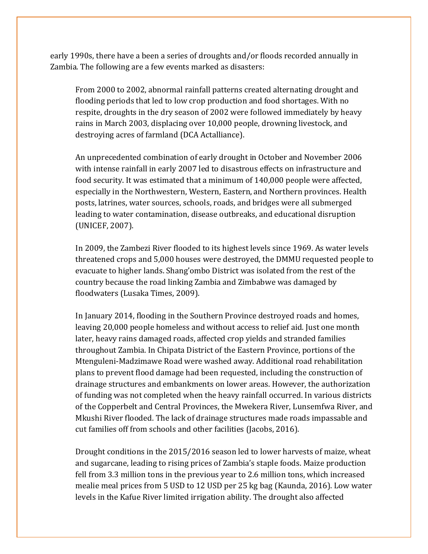early 1990s, there have a been a series of droughts and/or floods recorded annually in Zambia. The following are a few events marked as disasters:

From 2000 to 2002, abnormal rainfall patterns created alternating drought and flooding periods that led to low crop production and food shortages. With no respite, droughts in the dry season of 2002 were followed immediately by heavy rains in March 2003, displacing over 10,000 people, drowning livestock, and destroying acres of farmland (DCA Actalliance).

An unprecedented combination of early drought in October and November 2006 with intense rainfall in early 2007 led to disastrous effects on infrastructure and food security. It was estimated that a minimum of 140,000 people were affected, especially in the Northwestern, Western, Eastern, and Northern provinces. Health posts, latrines, water sources, schools, roads, and bridges were all submerged leading to water contamination, disease outbreaks, and educational disruption (UNICEF, 2007).

In 2009, the Zambezi River flooded to its highest levels since 1969. As water levels threatened crops and 5,000 houses were destroyed, the DMMU requested people to evacuate to higher lands. Shang'ombo District was isolated from the rest of the country because the road linking Zambia and Zimbabwe was damaged by floodwaters (Lusaka Times, 2009).

In January 2014, flooding in the Southern Province destroyed roads and homes, leaving 20,000 people homeless and without access to relief aid. Just one month later, heavy rains damaged roads, affected crop yields and stranded families throughout Zambia. In Chipata District of the Eastern Province, portions of the Mtenguleni-Madzimawe Road were washed away. Additional road rehabilitation plans to prevent flood damage had been requested, including the construction of drainage structures and embankments on lower areas. However, the authorization of funding was not completed when the heavy rainfall occurred. In various districts of the Copperbelt and Central Provinces, the Mwekera River, Lunsemfwa River, and Mkushi River flooded. The lack of drainage structures made roads impassable and cut families off from schools and other facilities (Jacobs, 2016).

Drought conditions in the 2015/2016 season led to lower harvests of maize, wheat and sugarcane, leading to rising prices of Zambia's staple foods. Maize production fell from 3.3 million tons in the previous year to 2.6 million tons, which increased mealie meal prices from 5 USD to 12 USD per 25 kg bag (Kaunda, 2016). Low water levels in the Kafue River limited irrigation ability. The drought also affected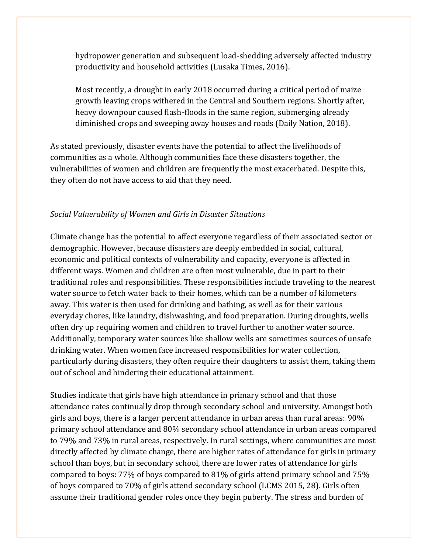hydropower generation and subsequent load-shedding adversely affected industry productivity and household activities (Lusaka Times, 2016).

Most recently, a drought in early 2018 occurred during a critical period of maize growth leaving crops withered in the Central and Southern regions. Shortly after, heavy downpour caused flash-floods in the same region, submerging already diminished crops and sweeping away houses and roads (Daily Nation, 2018).

As stated previously, disaster events have the potential to affect the livelihoods of communities as a whole. Although communities face these disasters together, the vulnerabilities of women and children are frequently the most exacerbated. Despite this, they often do not have access to aid that they need.

### *Social Vulnerability of Women and Girls in Disaster Situations*

Climate change has the potential to affect everyone regardless of their associated sector or demographic. However, because disasters are deeply embedded in social, cultural, economic and political contexts of vulnerability and capacity, everyone is affected in different ways. Women and children are often most vulnerable, due in part to their traditional roles and responsibilities. These responsibilities include traveling to the nearest water source to fetch water back to their homes, which can be a number of kilometers away. This water is then used for drinking and bathing, as well as for their various everyday chores, like laundry, dishwashing, and food preparation. During droughts, wells often dry up requiring women and children to travel further to another water source. Additionally, temporary water sources like shallow wells are sometimes sources of unsafe drinking water. When women face increased responsibilities for water collection, particularly during disasters, they often require their daughters to assist them, taking them out of school and hindering their educational attainment.

Studies indicate that girls have high attendance in primary school and that those attendance rates continually drop through secondary school and university. Amongst both girls and boys, there is a larger percent attendance in urban areas than rural areas: 90% primary school attendance and 80% secondary school attendance in urban areas compared to 79% and 73% in rural areas, respectively. In rural settings, where communities are most directly affected by climate change, there are higher rates of attendance for girls in primary school than boys, but in secondary school, there are lower rates of attendance for girls compared to boys: 77% of boys compared to 81% of girls attend primary school and 75% of boys compared to 70% of girls attend secondary school (LCMS 2015, 28). Girls often assume their traditional gender roles once they begin puberty. The stress and burden of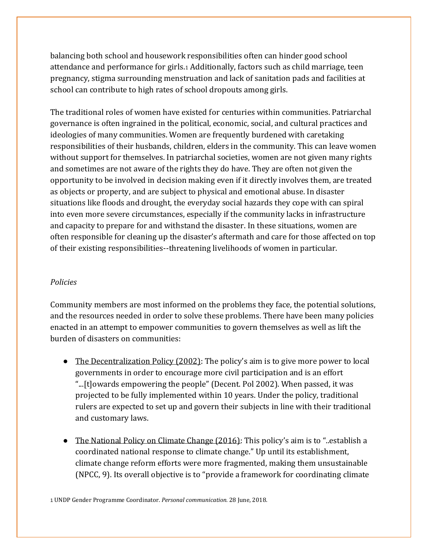balancing both school and housework responsibilities often can hinder good school attendance and performance for girls.<sup>1</sup> Additionally, factors such as child marriage, teen pregnancy, stigma surrounding menstruation and lack of sanitation pads and facilities at school can contribute to high rates of school dropouts among girls.

The traditional roles of women have existed for centuries within communities. Patriarchal governance is often ingrained in the political, economic, social, and cultural practices and ideologies of many communities. Women are frequently burdened with caretaking responsibilities of their husbands, children, elders in the community. This can leave women without support for themselves. In patriarchal societies, women are not given many rights and sometimes are not aware of the rights they do have. They are often not given the opportunity to be involved in decision making even if it directly involves them, are treated as objects or property, and are subject to physical and emotional abuse. In disaster situations like floods and drought, the everyday social hazards they cope with can spiral into even more severe circumstances, especially if the community lacks in infrastructure and capacity to prepare for and withstand the disaster. In these situations, women are often responsible for cleaning up the disaster's aftermath and care for those affected on top of their existing responsibilities--threatening livelihoods of women in particular.

### *Policies*

Community members are most informed on the problems they face, the potential solutions, and the resources needed in order to solve these problems. There have been many policies enacted in an attempt to empower communities to govern themselves as well as lift the burden of disasters on communities:

- The Decentralization Policy (2002): The policy's aim is to give more power to local governments in order to encourage more civil participation and is an effort "...[t]owards empowering the people" (Decent. Pol 2002). When passed, it was projected to be fully implemented within 10 years. Under the policy, traditional rulers are expected to set up and govern their subjects in line with their traditional and customary laws.
- The National Policy on Climate Change (2016): This policy's aim is to "..establish a coordinated national response to climate change." Up until its establishment, climate change reform efforts were more fragmented, making them unsustainable (NPCC, 9). Its overall objective is to "provide a framework for coordinating climate

1 UNDP Gender Programme Coordinator. *Personal communication.* 28 June, 2018.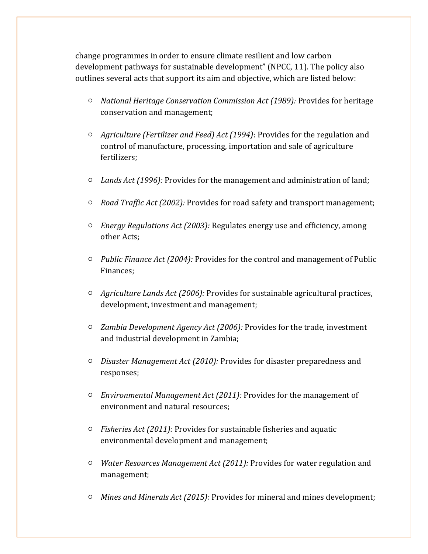change programmes in order to ensure climate resilient and low carbon development pathways for sustainable development" (NPCC, 11). The policy also outlines several acts that support its aim and objective, which are listed below:

- *National Heritage Conservation Commission Act (1989):* Provides for heritage conservation and management;
- *Agriculture (Fertilizer and Feed) Act (1994)*: Provides for the regulation and control of manufacture, processing, importation and sale of agriculture fertilizers;
- *Lands Act (1996):* Provides for the management and administration of land;
- *Road Traffic Act (2002):* Provides for road safety and transport management;
- *Energy Regulations Act (2003):* Regulates energy use and efficiency, among other Acts;
- *Public Finance Act (2004):* Provides for the control and management of Public Finances;
- *Agriculture Lands Act (2006):* Provides for sustainable agricultural practices, development, investment and management;
- *Zambia Development Agency Act (2006):* Provides for the trade, investment and industrial development in Zambia;
- *Disaster Management Act (2010):* Provides for disaster preparedness and responses;
- *Environmental Management Act (2011):* Provides for the management of environment and natural resources;
- *Fisheries Act (2011):* Provides for sustainable fisheries and aquatic environmental development and management;
- *Water Resources Management Act (2011):* Provides for water regulation and management;
- *Mines and Minerals Act (2015):* Provides for mineral and mines development;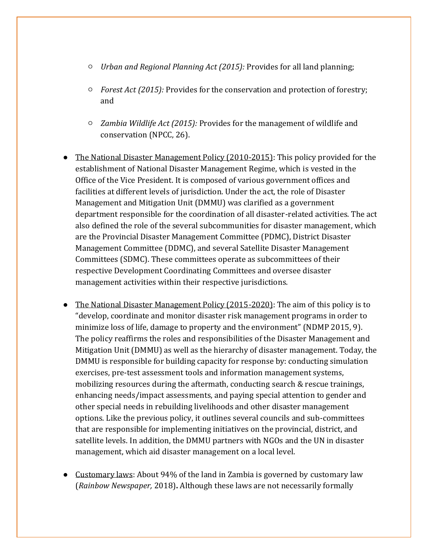- *Urban and Regional Planning Act (2015):* Provides for all land planning;
- *Forest Act (2015):* Provides for the conservation and protection of forestry; and
- *Zambia Wildlife Act (2015):* Provides for the management of wildlife and conservation (NPCC, 26).
- The National Disaster Management Policy (2010-2015): This policy provided for the establishment of National Disaster Management Regime, which is vested in the Office of the Vice President. It is composed of various government offices and facilities at different levels of jurisdiction. Under the act, the role of Disaster Management and Mitigation Unit (DMMU) was clarified as a government department responsible for the coordination of all disaster-related activities. The act also defined the role of the several subcommunities for disaster management, which are the Provincial Disaster Management Committee (PDMC), District Disaster Management Committee (DDMC), and several Satellite Disaster Management Committees (SDMC). These committees operate as subcommittees of their respective Development Coordinating Committees and oversee disaster management activities within their respective jurisdictions.
- The National Disaster Management Policy (2015-2020): The aim of this policy is to "develop, coordinate and monitor disaster risk management programs in order to minimize loss of life, damage to property and the environment" (NDMP 2015, 9). The policy reaffirms the roles and responsibilities of the Disaster Management and Mitigation Unit (DMMU) as well as the hierarchy of disaster management. Today, the DMMU is responsible for building capacity for response by: conducting simulation exercises, pre-test assessment tools and information management systems, mobilizing resources during the aftermath, conducting search & rescue trainings, enhancing needs/impact assessments, and paying special attention to gender and other special needs in rebuilding livelihoods and other disaster management options. Like the previous policy, it outlines several councils and sub-committees that are responsible for implementing initiatives on the provincial, district, and satellite levels. In addition, the DMMU partners with NGOs and the UN in disaster management, which aid disaster management on a local level.
- Customary laws: About 94% of the land in Zambia is governed by customary law (*Rainbow Newspaper,* 2018)**.** Although these laws are not necessarily formally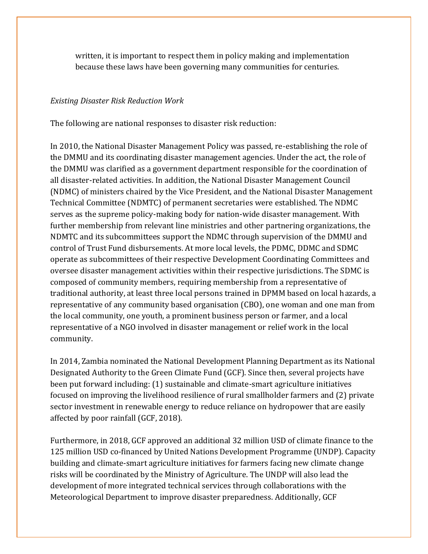written, it is important to respect them in policy making and implementation because these laws have been governing many communities for centuries.

### *Existing Disaster Risk Reduction Work*

The following are national responses to disaster risk reduction:

In 2010, the National Disaster Management Policy was passed, re-establishing the role of the DMMU and its coordinating disaster management agencies. Under the act, the role of the DMMU was clarified as a government department responsible for the coordination of all disaster-related activities. In addition, the National Disaster Management Council (NDMC) of ministers chaired by the Vice President, and the National Disaster Management Technical Committee (NDMTC) of permanent secretaries were established. The NDMC serves as the supreme policy-making body for nation-wide disaster management. With further membership from relevant line ministries and other partnering organizations, the NDMTC and its subcommittees support the NDMC through supervision of the DMMU and control of Trust Fund disbursements. At more local levels, the PDMC, DDMC and SDMC operate as subcommittees of their respective Development Coordinating Committees and oversee disaster management activities within their respective jurisdictions. The SDMC is composed of community members, requiring membership from a representative of traditional authority, at least three local persons trained in DPMM based on local hazards, a representative of any community based organisation (CBO), one woman and one man from the local community, one youth, a prominent business person or farmer, and a local representative of a NGO involved in disaster management or relief work in the local community.

In 2014, Zambia nominated the National Development Planning Department as its National Designated Authority to the Green Climate Fund (GCF). Since then, several projects have been put forward including: (1) sustainable and climate-smart agriculture initiatives focused on improving the livelihood resilience of rural smallholder farmers and (2) private sector investment in renewable energy to reduce reliance on hydropower that are easily affected by poor rainfall (GCF, 2018).

Furthermore, in 2018, GCF approved an additional 32 million USD of climate finance to the 125 million USD co-financed by United Nations Development Programme (UNDP). Capacity building and climate-smart agriculture initiatives for farmers facing new climate change risks will be coordinated by the Ministry of Agriculture. The UNDP will also lead the development of more integrated technical services through collaborations with the Meteorological Department to improve disaster preparedness. Additionally, GCF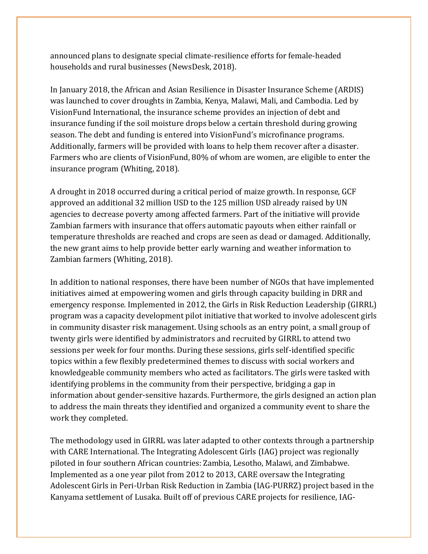announced plans to designate special climate-resilience efforts for female-headed households and rural businesses (NewsDesk, 2018).

In January 2018, the African and Asian Resilience in Disaster Insurance Scheme (ARDIS) was launched to cover droughts in Zambia, Kenya, Malawi, Mali, and Cambodia. Led by VisionFund International, the insurance scheme provides an injection of debt and insurance funding if the soil moisture drops below a certain threshold during growing season. The debt and funding is entered into VisionFund's microfinance programs. Additionally, farmers will be provided with loans to help them recover after a disaster. Farmers who are clients of VisionFund, 80% of whom are women, are eligible to enter the insurance program (Whiting, 2018).

A drought in 2018 occurred during a critical period of maize growth. In response, GCF approved an additional 32 million USD to the 125 million USD already raised by UN agencies to decrease poverty among affected farmers. Part of the initiative will provide Zambian farmers with insurance that offers automatic payouts when either rainfall or temperature thresholds are reached and crops are seen as dead or damaged. Additionally, the new grant aims to help provide better early warning and weather information to Zambian farmers (Whiting, 2018).

In addition to national responses, there have been number of NGOs that have implemented initiatives aimed at empowering women and girls through capacity building in DRR and emergency response. Implemented in 2012, the Girls in Risk Reduction Leadership (GIRRL) program was a capacity development pilot initiative that worked to involve adolescent girls in community disaster risk management. Using schools as an entry point, a small group of twenty girls were identified by administrators and recruited by GIRRL to attend two sessions per week for four months. During these sessions, girls self-identified specific topics within a few flexibly predetermined themes to discuss with social workers and knowledgeable community members who acted as facilitators. The girls were tasked with identifying problems in the community from their perspective, bridging a gap in information about gender-sensitive hazards. Furthermore, the girls designed an action plan to address the main threats they identified and organized a community event to share the work they completed.

The methodology used in GIRRL was later adapted to other contexts through a partnership with CARE International. The Integrating Adolescent Girls (IAG) project was regionally piloted in four southern African countries: Zambia, Lesotho, Malawi, and Zimbabwe. Implemented as a one year pilot from 2012 to 2013, CARE oversaw the Integrating Adolescent Girls in Peri-Urban Risk Reduction in Zambia (IAG-PURRZ) project based in the Kanyama settlement of Lusaka. Built off of previous CARE projects for resilience, IAG-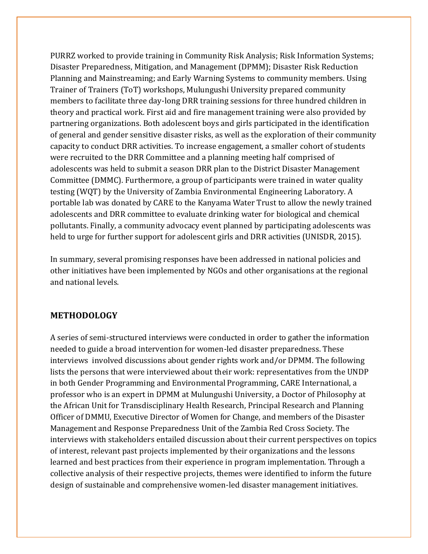PURRZ worked to provide training in Community Risk Analysis; Risk Information Systems; Disaster Preparedness, Mitigation, and Management (DPMM); Disaster Risk Reduction Planning and Mainstreaming; and Early Warning Systems to community members. Using Trainer of Trainers (ToT) workshops, Mulungushi University prepared community members to facilitate three day-long DRR training sessions for three hundred children in theory and practical work. First aid and fire management training were also provided by partnering organizations. Both adolescent boys and girls participated in the identification of general and gender sensitive disaster risks, as well as the exploration of their community capacity to conduct DRR activities. To increase engagement, a smaller cohort of students were recruited to the DRR Committee and a planning meeting half comprised of adolescents was held to submit a season DRR plan to the District Disaster Management Committee (DMMC). Furthermore, a group of participants were trained in water quality testing (WQT) by the University of Zambia Environmental Engineering Laboratory. A portable lab was donated by CARE to the Kanyama Water Trust to allow the newly trained adolescents and DRR committee to evaluate drinking water for biological and chemical pollutants. Finally, a community advocacy event planned by participating adolescents was held to urge for further support for adolescent girls and DRR activities (UNISDR, 2015).

In summary, several promising responses have been addressed in national policies and other initiatives have been implemented by NGOs and other organisations at the regional and national levels.

# **METHODOLOGY**

A series of semi-structured interviews were conducted in order to gather the information needed to guide a broad intervention for women-led disaster preparedness. These interviews involved discussions about gender rights work and/or DPMM. The following lists the persons that were interviewed about their work: representatives from the UNDP in both Gender Programming and Environmental Programming, CARE International, a professor who is an expert in DPMM at Mulungushi University, a Doctor of Philosophy at the African Unit for Transdisciplinary Health Research, Principal Research and Planning Officer of DMMU, Executive Director of Women for Change, and members of the Disaster Management and Response Preparedness Unit of the Zambia Red Cross Society. The interviews with stakeholders entailed discussion about their current perspectives on topics of interest, relevant past projects implemented by their organizations and the lessons learned and best practices from their experience in program implementation. Through a collective analysis of their respective projects, themes were identified to inform the future design of sustainable and comprehensive women-led disaster management initiatives.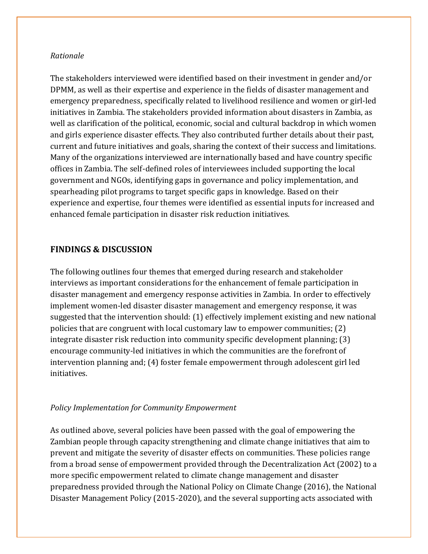### *Rationale*

The stakeholders interviewed were identified based on their investment in gender and/or DPMM, as well as their expertise and experience in the fields of disaster management and emergency preparedness, specifically related to livelihood resilience and women or girl-led initiatives in Zambia. The stakeholders provided information about disasters in Zambia, as well as clarification of the political, economic, social and cultural backdrop in which women and girls experience disaster effects. They also contributed further details about their past, current and future initiatives and goals, sharing the context of their success and limitations. Many of the organizations interviewed are internationally based and have country specific offices in Zambia. The self-defined roles of interviewees included supporting the local government and NGOs, identifying gaps in governance and policy implementation, and spearheading pilot programs to target specific gaps in knowledge. Based on their experience and expertise, four themes were identified as essential inputs for increased and enhanced female participation in disaster risk reduction initiatives.

# **FINDINGS & DISCUSSION**

The following outlines four themes that emerged during research and stakeholder interviews as important considerations for the enhancement of female participation in disaster management and emergency response activities in Zambia. In order to effectively implement women-led disaster disaster management and emergency response, it was suggested that the intervention should: (1) effectively implement existing and new national policies that are congruent with local customary law to empower communities; (2) integrate disaster risk reduction into community specific development planning; (3) encourage community-led initiatives in which the communities are the forefront of intervention planning and; (4) foster female empowerment through adolescent girl led initiatives.

### *Policy Implementation for Community Empowerment*

As outlined above, several policies have been passed with the goal of empowering the Zambian people through capacity strengthening and climate change initiatives that aim to prevent and mitigate the severity of disaster effects on communities. These policies range from a broad sense of empowerment provided through the Decentralization Act (2002) to a more specific empowerment related to climate change management and disaster preparedness provided through the National Policy on Climate Change (2016), the National Disaster Management Policy (2015-2020), and the several supporting acts associated with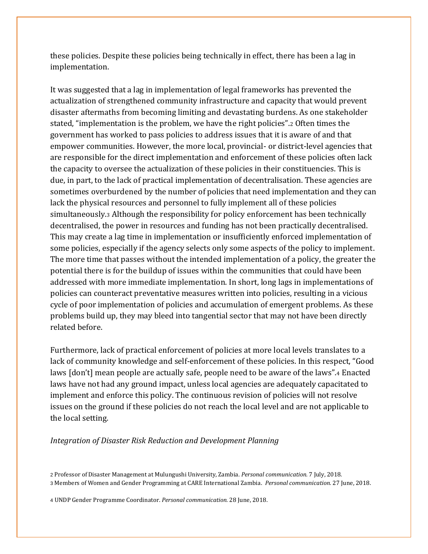these policies. Despite these policies being technically in effect, there has been a lag in implementation.

It was suggested that a lag in implementation of legal frameworks has prevented the actualization of strengthened community infrastructure and capacity that would prevent disaster aftermaths from becoming limiting and devastating burdens. As one stakeholder stated, "implementation is the problem, we have the right policies".<sup>2</sup> Often times the government has worked to pass policies to address issues that it is aware of and that empower communities. However, the more local, provincial- or district-level agencies that are responsible for the direct implementation and enforcement of these policies often lack the capacity to oversee the actualization of these policies in their constituencies. This is due, in part, to the lack of practical implementation of decentralisation. These agencies are sometimes overburdened by the number of policies that need implementation and they can lack the physical resources and personnel to fully implement all of these policies simultaneously.<sup>3</sup> Although the responsibility for policy enforcement has been technically decentralised, the power in resources and funding has not been practically decentralised. This may create a lag time in implementation or insufficiently enforced implementation of some policies, especially if the agency selects only some aspects of the policy to implement. The more time that passes without the intended implementation of a policy, the greater the potential there is for the buildup of issues within the communities that could have been addressed with more immediate implementation. In short, long lags in implementations of policies can counteract preventative measures written into policies, resulting in a vicious cycle of poor implementation of policies and accumulation of emergent problems. As these problems build up, they may bleed into tangential sector that may not have been directly related before.

Furthermore, lack of practical enforcement of policies at more local levels translates to a lack of community knowledge and self-enforcement of these policies. In this respect, "Good laws [don't] mean people are actually safe, people need to be aware of the laws".<sup>4</sup> Enacted laws have not had any ground impact, unless local agencies are adequately capacitated to implement and enforce this policy. The continuous revision of policies will not resolve issues on the ground if these policies do not reach the local level and are not applicable to the local setting.

### *Integration of Disaster Risk Reduction and Development Planning*

2 Professor of Disaster Management at Mulungushi University, Zambia. *Personal communication.* 7 July, 2018. 3 Members of Women and Gender Programming at CARE International Zambia. *Personal communication.* 27 June, 2018.

4 UNDP Gender Programme Coordinator. *Personal communication.* 28 June, 2018.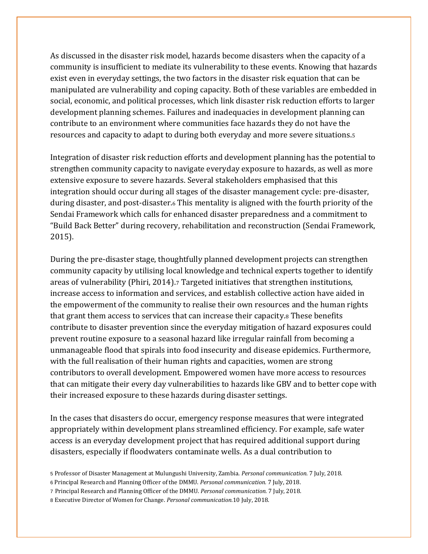As discussed in the disaster risk model, hazards become disasters when the capacity of a community is insufficient to mediate its vulnerability to these events. Knowing that hazards exist even in everyday settings, the two factors in the disaster risk equation that can be manipulated are vulnerability and coping capacity. Both of these variables are embedded in social, economic, and political processes, which link disaster risk reduction efforts to larger development planning schemes. Failures and inadequacies in development planning can contribute to an environment where communities face hazards they do not have the resources and capacity to adapt to during both everyday and more severe situations.<sup>5</sup>

Integration of disaster risk reduction efforts and development planning has the potential to strengthen community capacity to navigate everyday exposure to hazards, as well as more extensive exposure to severe hazards. Several stakeholders emphasised that this integration should occur during all stages of the disaster management cycle: pre-disaster, during disaster, and post-disaster.<sup>6</sup> This mentality is aligned with the fourth priority of the Sendai Framework which calls for enhanced disaster preparedness and a commitment to "Build Back Better" during recovery, rehabilitation and reconstruction (Sendai Framework, 2015).

During the pre-disaster stage, thoughtfully planned development projects can strengthen community capacity by utilising local knowledge and technical experts together to identify areas of vulnerability (Phiri, 2014).<sup>7</sup> Targeted initiatives that strengthen institutions, increase access to information and services, and establish collective action have aided in the empowerment of the community to realise their own resources and the human rights that grant them access to services that can increase their capacity.<sup>8</sup> These benefits contribute to disaster prevention since the everyday mitigation of hazard exposures could prevent routine exposure to a seasonal hazard like irregular rainfall from becoming a unmanageable flood that spirals into food insecurity and disease epidemics. Furthermore, with the full realisation of their human rights and capacities, women are strong contributors to overall development. Empowered women have more access to resources that can mitigate their every day vulnerabilities to hazards like GBV and to better cope with their increased exposure to these hazards during disaster settings.

In the cases that disasters do occur, emergency response measures that were integrated appropriately within development plans streamlined efficiency. For example, safe water access is an everyday development project that has required additional support during disasters, especially if floodwaters contaminate wells. As a dual contribution to

<sup>5</sup> Professor of Disaster Management at Mulungushi University, Zambia. *Personal communication.* 7 July, 2018.

<sup>6</sup> Principal Research and Planning Officer of the DMMU. *Personal communication.* 7 July, 2018.

<sup>7</sup> Principal Research and Planning Officer of the DMMU. *Personal communication.* 7 July, 2018.

<sup>8</sup> Executive Director of Women for Change. *Personal communication.*10 July, 2018.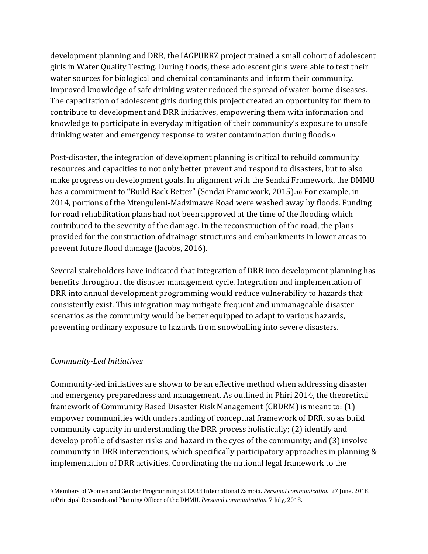development planning and DRR, the IAGPURRZ project trained a small cohort of adolescent girls in Water Quality Testing. During floods, these adolescent girls were able to test their water sources for biological and chemical contaminants and inform their community. Improved knowledge of safe drinking water reduced the spread of water-borne diseases. The capacitation of adolescent girls during this project created an opportunity for them to contribute to development and DRR initiatives, empowering them with information and knowledge to participate in everyday mitigation of their community's exposure to unsafe drinking water and emergency response to water contamination during floods.<sup>9</sup>

Post-disaster, the integration of development planning is critical to rebuild community resources and capacities to not only better prevent and respond to disasters, but to also make progress on development goals. In alignment with the Sendai Framework, the DMMU has a commitment to "Build Back Better" (Sendai Framework, 2015).<sup>10</sup> For example, in 2014, portions of the Mtenguleni-Madzimawe Road were washed away by floods. Funding for road rehabilitation plans had not been approved at the time of the flooding which contributed to the severity of the damage. In the reconstruction of the road, the plans provided for the construction of drainage structures and embankments in lower areas to prevent future flood damage (Jacobs, 2016).

Several stakeholders have indicated that integration of DRR into development planning has benefits throughout the disaster management cycle. Integration and implementation of DRR into annual development programming would reduce vulnerability to hazards that consistently exist. This integration may mitigate frequent and unmanageable disaster scenarios as the community would be better equipped to adapt to various hazards, preventing ordinary exposure to hazards from snowballing into severe disasters.

### *Community-Led Initiatives*

Community-led initiatives are shown to be an effective method when addressing disaster and emergency preparedness and management. As outlined in Phiri 2014, the theoretical framework of Community Based Disaster Risk Management (CBDRM) is meant to: (1) empower communities with understanding of conceptual framework of DRR, so as build community capacity in understanding the DRR process holistically; (2) identify and develop profile of disaster risks and hazard in the eyes of the community; and (3) involve community in DRR interventions, which specifically participatory approaches in planning & implementation of DRR activities. Coordinating the national legal framework to the

9 Members of Women and Gender Programming at CARE International Zambia. *Personal communication.* 27 June, 2018. 10Principal Research and Planning Officer of the DMMU. *Personal communication.* 7 July, 2018.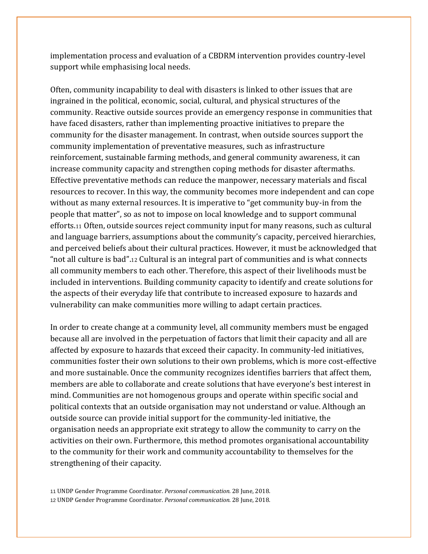implementation process and evaluation of a CBDRM intervention provides country-level support while emphasising local needs.

Often, community incapability to deal with disasters is linked to other issues that are ingrained in the political, economic, social, cultural, and physical structures of the community. Reactive outside sources provide an emergency response in communities that have faced disasters, rather than implementing proactive initiatives to prepare the community for the disaster management. In contrast, when outside sources support the community implementation of preventative measures, such as infrastructure reinforcement, sustainable farming methods, and general community awareness, it can increase community capacity and strengthen coping methods for disaster aftermaths. Effective preventative methods can reduce the manpower, necessary materials and fiscal resources to recover. In this way, the community becomes more independent and can cope without as many external resources. It is imperative to "get community buy-in from the people that matter", so as not to impose on local knowledge and to support communal efforts.<sup>11</sup> Often, outside sources reject community input for many reasons, such as cultural and language barriers, assumptions about the community's capacity, perceived hierarchies, and perceived beliefs about their cultural practices. However, it must be acknowledged that "not all culture is bad".<sup>12</sup> Cultural is an integral part of communities and is what connects all community members to each other. Therefore, this aspect of their livelihoods must be included in interventions. Building community capacity to identify and create solutions for the aspects of their everyday life that contribute to increased exposure to hazards and vulnerability can make communities more willing to adapt certain practices.

In order to create change at a community level, all community members must be engaged because all are involved in the perpetuation of factors that limit their capacity and all are affected by exposure to hazards that exceed their capacity. In community-led initiatives, communities foster their own solutions to their own problems, which is more cost-effective and more sustainable. Once the community recognizes identifies barriers that affect them, members are able to collaborate and create solutions that have everyone's best interest in mind. Communities are not homogenous groups and operate within specific social and political contexts that an outside organisation may not understand or value. Although an outside source can provide initial support for the community-led initiative, the organisation needs an appropriate exit strategy to allow the community to carry on the activities on their own. Furthermore, this method promotes organisational accountability to the community for their work and community accountability to themselves for the strengthening of their capacity.

11 UNDP Gender Programme Coordinator. *Personal communication.* 28 June, 2018. 12 UNDP Gender Programme Coordinator. *Personal communication.* 28 June, 2018.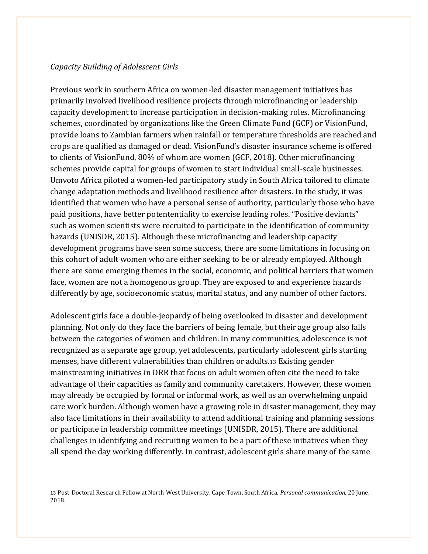### *Capacity Building of Adolescent Girls*

Previous work in southern Africa on women-led disaster management initiatives has primarily involved livelihood resilience projects through microfinancing or leadership capacity development to increase participation in decision-making roles. Microfinancing schemes, coordinated by organizations like the Green Climate Fund (GCF) or VisionFund, provide loans to Zambian farmers when rainfall or temperature thresholds are reached and crops are qualified as damaged or dead. VisionFund's disaster insurance scheme is offered to clients of VisionFund, 80% of whom are women (GCF, 2018). Other microfinancing schemes provide capital for groups of women to start individual small-scale businesses. Umvoto Africa piloted a women-led participatory study in South Africa tailored to climate change adaptation methods and livelihood resilience after disasters. In the study, it was identified that women who have a personal sense of authority, particularly those who have paid positions, have better potententiality to exercise leading roles. "Positive deviants" such as women scientists were recruited to participate in the identification of community hazards (UNISDR, 2015). Although these microfinancing and leadership capacity development programs have seen some success, there are some limitations in focusing on this cohort of adult women who are either seeking to be or already employed. Although there are some emerging themes in the social, economic, and political barriers that women face, women are not a homogenous group. They are exposed to and experience hazards differently by age, socioeconomic status, marital status, and any number of other factors.

Adolescent girls face a double-jeopardy of being overlooked in disaster and development planning. Not only do they face the barriers of being female, but their age group also falls between the categories of women and children. In many communities, adolescence is not recognized as a separate age group, yet adolescents, particularly adolescent girls starting menses, have different vulnerabilities than children or adults.<sup>13</sup> Existing gender mainstreaming initiatives in DRR that focus on adult women often cite the need to take advantage of their capacities as family and community caretakers. However, these women may already be occupied by formal or informal work, as well as an overwhelming unpaid care work burden. Although women have a growing role in disaster management, they may also face limitations in their availability to attend additional training and planning sessions or participate in leadership committee meetings (UNISDR, 2015). There are additional challenges in identifying and recruiting women to be a part of these initiatives when they all spend the day working differently. In contrast, adolescent girls share many of the same

<sup>13</sup> Post-Doctoral Research Fellow at North-West University, Cape Town, South Africa, *Personal communication,* 20 June, 2018.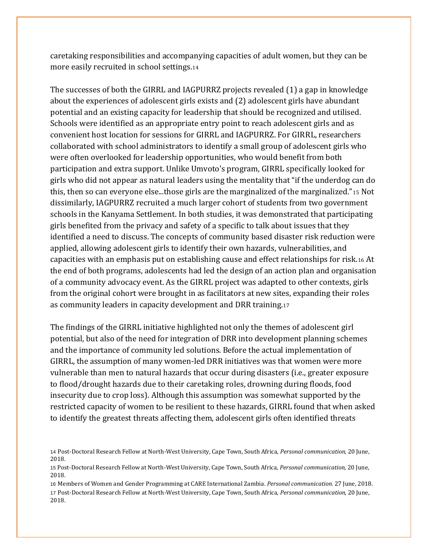caretaking responsibilities and accompanying capacities of adult women, but they can be more easily recruited in school settings.<sup>14</sup>

The successes of both the GIRRL and IAGPURRZ projects revealed (1) a gap in knowledge about the experiences of adolescent girls exists and (2) adolescent girls have abundant potential and an existing capacity for leadership that should be recognized and utilised. Schools were identified as an appropriate entry point to reach adolescent girls and as convenient host location for sessions for GIRRL and IAGPURRZ. For GIRRL, researchers collaborated with school administrators to identify a small group of adolescent girls who were often overlooked for leadership opportunities, who would benefit from both participation and extra support. Unlike Umvoto's program, GIRRL specifically looked for girls who did not appear as natural leaders using the mentality that "if the underdog can do this, then so can everyone else...those girls are the marginalized of the marginalized."<sup>15</sup> Not dissimilarly, IAGPURRZ recruited a much larger cohort of students from two government schools in the Kanyama Settlement. In both studies, it was demonstrated that participating girls benefited from the privacy and safety of a specific to talk about issues that they identified a need to discuss. The concepts of community based disaster risk reduction were applied, allowing adolescent girls to identify their own hazards, vulnerabilities, and capacities with an emphasis put on establishing cause and effect relationships for risk.<sup>16</sup> At the end of both programs, adolescents had led the design of an action plan and organisation of a community advocacy event. As the GIRRL project was adapted to other contexts, girls from the original cohort were brought in as facilitators at new sites, expanding their roles as community leaders in capacity development and DRR training.<sup>17</sup>

The findings of the GIRRL initiative highlighted not only the themes of adolescent girl potential, but also of the need for integration of DRR into development planning schemes and the importance of community led solutions. Before the actual implementation of GIRRL, the assumption of many women-led DRR initiatives was that women were more vulnerable than men to natural hazards that occur during disasters (i.e., greater exposure to flood/drought hazards due to their caretaking roles, drowning during floods, food insecurity due to crop loss). Although this assumption was somewhat supported by the restricted capacity of women to be resilient to these hazards, GIRRL found that when asked to identify the greatest threats affecting them, adolescent girls often identified threats

16 Members of Women and Gender Programming at CARE International Zambia. *Personal communication.* 27 June, 2018. 17 Post-Doctoral Research Fellow at North-West University, Cape Town, South Africa, *Personal communication,* 20 June, 2018.

<sup>14</sup> Post-Doctoral Research Fellow at North-West University, Cape Town, South Africa, *Personal communication,* 20 June, 2018.

<sup>15</sup> Post-Doctoral Research Fellow at North-West University, Cape Town, South Africa, *Personal communication,* 20 June, 2018.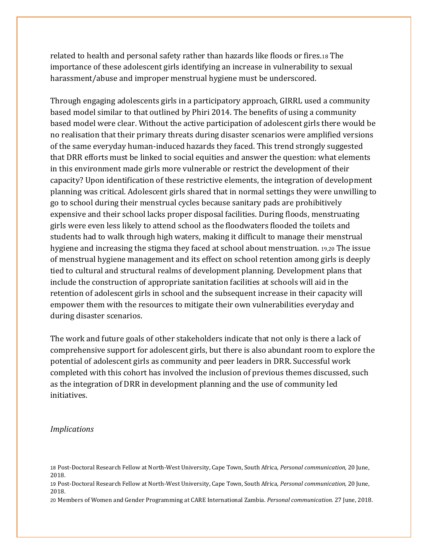related to health and personal safety rather than hazards like floods or fires.<sup>18</sup> The importance of these adolescent girls identifying an increase in vulnerability to sexual harassment/abuse and improper menstrual hygiene must be underscored.

Through engaging adolescents girls in a participatory approach, GIRRL used a community based model similar to that outlined by Phiri 2014. The benefits of using a community based model were clear. Without the active participation of adolescent girls there would be no realisation that their primary threats during disaster scenarios were amplified versions of the same everyday human-induced hazards they faced. This trend strongly suggested that DRR efforts must be linked to social equities and answer the question: what elements in this environment made girls more vulnerable or restrict the development of their capacity? Upon identification of these restrictive elements, the integration of development planning was critical. Adolescent girls shared that in normal settings they were unwilling to go to school during their menstrual cycles because sanitary pads are prohibitively expensive and their school lacks proper disposal facilities. During floods, menstruating girls were even less likely to attend school as the floodwaters flooded the toilets and students had to walk through high waters, making it difficult to manage their menstrual hygiene and increasing the stigma they faced at school about menstruation. 19,20 The issue of menstrual hygiene management and its effect on school retention among girls is deeply tied to cultural and structural realms of development planning. Development plans that include the construction of appropriate sanitation facilities at schools will aid in the retention of adolescent girls in school and the subsequent increase in their capacity will empower them with the resources to mitigate their own vulnerabilities everyday and during disaster scenarios.

The work and future goals of other stakeholders indicate that not only is there a lack of comprehensive support for adolescent girls, but there is also abundant room to explore the potential of adolescent girls as community and peer leaders in DRR. Successful work completed with this cohort has involved the inclusion of previous themes discussed, such as the integration of DRR in development planning and the use of community led initiatives.

#### *Implications*

- 18 Post-Doctoral Research Fellow at North-West University, Cape Town, South Africa, *Personal communication,* 20 June, 2018.
- 19 Post-Doctoral Research Fellow at North-West University, Cape Town, South Africa, *Personal communication,* 20 June, 2018.

20 Members of Women and Gender Programming at CARE International Zambia. *Personal communication.* 27 June, 2018.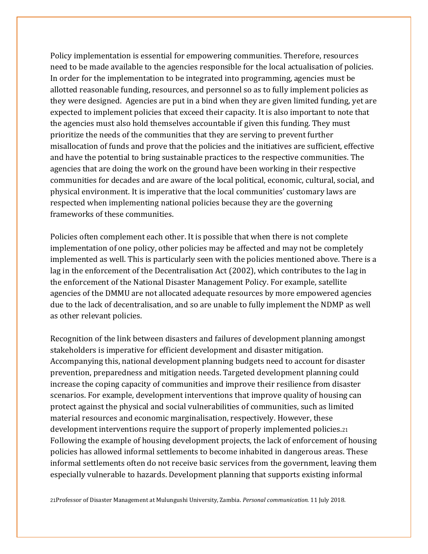Policy implementation is essential for empowering communities. Therefore, resources need to be made available to the agencies responsible for the local actualisation of policies. In order for the implementation to be integrated into programming, agencies must be allotted reasonable funding, resources, and personnel so as to fully implement policies as they were designed. Agencies are put in a bind when they are given limited funding, yet are expected to implement policies that exceed their capacity. It is also important to note that the agencies must also hold themselves accountable if given this funding. They must prioritize the needs of the communities that they are serving to prevent further misallocation of funds and prove that the policies and the initiatives are sufficient, effective and have the potential to bring sustainable practices to the respective communities. The agencies that are doing the work on the ground have been working in their respective communities for decades and are aware of the local political, economic, cultural, social, and physical environment. It is imperative that the local communities' customary laws are respected when implementing national policies because they are the governing frameworks of these communities.

Policies often complement each other. It is possible that when there is not complete implementation of one policy, other policies may be affected and may not be completely implemented as well. This is particularly seen with the policies mentioned above. There is a lag in the enforcement of the Decentralisation Act (2002), which contributes to the lag in the enforcement of the National Disaster Management Policy. For example, satellite agencies of the DMMU are not allocated adequate resources by more empowered agencies due to the lack of decentralisation, and so are unable to fully implement the NDMP as well as other relevant policies.

Recognition of the link between disasters and failures of development planning amongst stakeholders is imperative for efficient development and disaster mitigation. Accompanying this, national development planning budgets need to account for disaster prevention, preparedness and mitigation needs. Targeted development planning could increase the coping capacity of communities and improve their resilience from disaster scenarios. For example, development interventions that improve quality of housing can protect against the physical and social vulnerabilities of communities, such as limited material resources and economic marginalisation, respectively. However, these development interventions require the support of properly implemented policies.<sup>21</sup> Following the example of housing development projects, the lack of enforcement of housing policies has allowed informal settlements to become inhabited in dangerous areas. These informal settlements often do not receive basic services from the government, leaving them especially vulnerable to hazards. Development planning that supports existing informal

21Professor of Disaster Management at Mulungushi University, Zambia. *Personal communication.* 11 July 2018.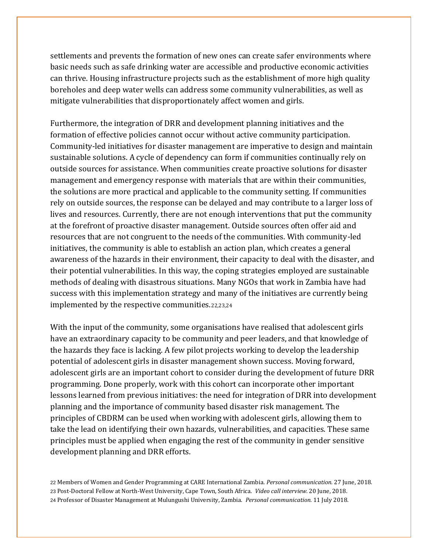settlements and prevents the formation of new ones can create safer environments where basic needs such as safe drinking water are accessible and productive economic activities can thrive. Housing infrastructure projects such as the establishment of more high quality boreholes and deep water wells can address some community vulnerabilities, as well as mitigate vulnerabilities that disproportionately affect women and girls.

Furthermore, the integration of DRR and development planning initiatives and the formation of effective policies cannot occur without active community participation. Community-led initiatives for disaster management are imperative to design and maintain sustainable solutions. A cycle of dependency can form if communities continually rely on outside sources for assistance. When communities create proactive solutions for disaster management and emergency response with materials that are within their communities, the solutions are more practical and applicable to the community setting. If communities rely on outside sources, the response can be delayed and may contribute to a larger loss of lives and resources. Currently, there are not enough interventions that put the community at the forefront of proactive disaster management. Outside sources often offer aid and resources that are not congruent to the needs of the communities. With community-led initiatives, the community is able to establish an action plan, which creates a general awareness of the hazards in their environment, their capacity to deal with the disaster, and their potential vulnerabilities. In this way, the coping strategies employed are sustainable methods of dealing with disastrous situations. Many NGOs that work in Zambia have had success with this implementation strategy and many of the initiatives are currently being implemented by the respective communities.22,23,24

With the input of the community, some organisations have realised that adolescent girls have an extraordinary capacity to be community and peer leaders, and that knowledge of the hazards they face is lacking. A few pilot projects working to develop the leadership potential of adolescent girls in disaster management shown success. Moving forward, adolescent girls are an important cohort to consider during the development of future DRR programming. Done properly, work with this cohort can incorporate other important lessons learned from previous initiatives: the need for integration of DRR into development planning and the importance of community based disaster risk management. The principles of CBDRM can be used when working with adolescent girls, allowing them to take the lead on identifying their own hazards, vulnerabilities, and capacities. These same principles must be applied when engaging the rest of the community in gender sensitive development planning and DRR efforts.

22 Members of Women and Gender Programming at CARE International Zambia. *Personal communication.* 27 June, 2018. 23 Post-Doctoral Fellow at North-West University, Cape Town, South Africa. *Video call interview*. 20 June, 2018. 24 Professor of Disaster Management at Mulungushi University, Zambia. *Personal communication.* 11 July 2018.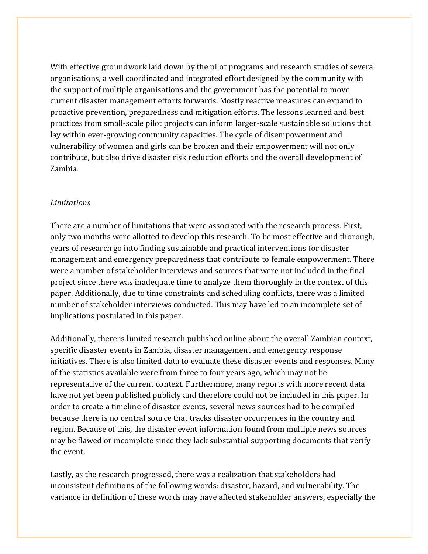With effective groundwork laid down by the pilot programs and research studies of several organisations, a well coordinated and integrated effort designed by the community with the support of multiple organisations and the government has the potential to move current disaster management efforts forwards. Mostly reactive measures can expand to proactive prevention, preparedness and mitigation efforts. The lessons learned and best practices from small-scale pilot projects can inform larger-scale sustainable solutions that lay within ever-growing community capacities. The cycle of disempowerment and vulnerability of women and girls can be broken and their empowerment will not only contribute, but also drive disaster risk reduction efforts and the overall development of Zambia.

### *Limitations*

There are a number of limitations that were associated with the research process. First, only two months were allotted to develop this research. To be most effective and thorough, years of research go into finding sustainable and practical interventions for disaster management and emergency preparedness that contribute to female empowerment. There were a number of stakeholder interviews and sources that were not included in the final project since there was inadequate time to analyze them thoroughly in the context of this paper. Additionally, due to time constraints and scheduling conflicts, there was a limited number of stakeholder interviews conducted. This may have led to an incomplete set of implications postulated in this paper.

Additionally, there is limited research published online about the overall Zambian context, specific disaster events in Zambia, disaster management and emergency response initiatives. There is also limited data to evaluate these disaster events and responses. Many of the statistics available were from three to four years ago, which may not be representative of the current context. Furthermore, many reports with more recent data have not yet been published publicly and therefore could not be included in this paper. In order to create a timeline of disaster events, several news sources had to be compiled because there is no central source that tracks disaster occurrences in the country and region. Because of this, the disaster event information found from multiple news sources may be flawed or incomplete since they lack substantial supporting documents that verify the event.

Lastly, as the research progressed, there was a realization that stakeholders had inconsistent definitions of the following words: disaster, hazard, and vulnerability. The variance in definition of these words may have affected stakeholder answers, especially the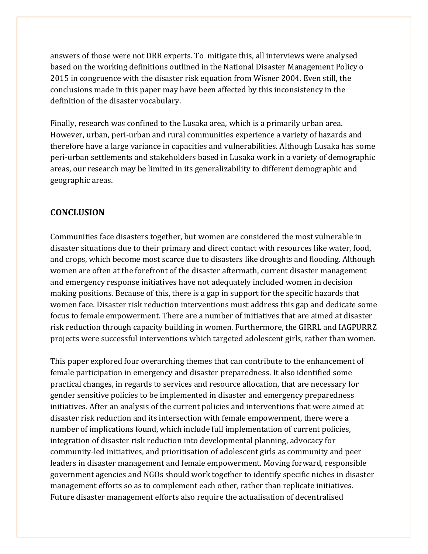answers of those were not DRR experts. To mitigate this, all interviews were analysed based on the working definitions outlined in the National Disaster Management Policy o 2015 in congruence with the disaster risk equation from Wisner 2004. Even still, the conclusions made in this paper may have been affected by this inconsistency in the definition of the disaster vocabulary.

Finally, research was confined to the Lusaka area, which is a primarily urban area. However, urban, peri-urban and rural communities experience a variety of hazards and therefore have a large variance in capacities and vulnerabilities. Although Lusaka has some peri-urban settlements and stakeholders based in Lusaka work in a variety of demographic areas, our research may be limited in its generalizability to different demographic and geographic areas.

# **CONCLUSION**

Communities face disasters together, but women are considered the most vulnerable in disaster situations due to their primary and direct contact with resources like water, food, and crops, which become most scarce due to disasters like droughts and flooding. Although women are often at the forefront of the disaster aftermath, current disaster management and emergency response initiatives have not adequately included women in decision making positions. Because of this, there is a gap in support for the specific hazards that women face. Disaster risk reduction interventions must address this gap and dedicate some focus to female empowerment. There are a number of initiatives that are aimed at disaster risk reduction through capacity building in women. Furthermore, the GIRRL and IAGPURRZ projects were successful interventions which targeted adolescent girls, rather than women.

This paper explored four overarching themes that can contribute to the enhancement of female participation in emergency and disaster preparedness. It also identified some practical changes, in regards to services and resource allocation, that are necessary for gender sensitive policies to be implemented in disaster and emergency preparedness initiatives. After an analysis of the current policies and interventions that were aimed at disaster risk reduction and its intersection with female empowerment, there were a number of implications found, which include full implementation of current policies, integration of disaster risk reduction into developmental planning, advocacy for community-led initiatives, and prioritisation of adolescent girls as community and peer leaders in disaster management and female empowerment. Moving forward, responsible government agencies and NGOs should work together to identify specific niches in disaster management efforts so as to complement each other, rather than replicate initiatives. Future disaster management efforts also require the actualisation of decentralised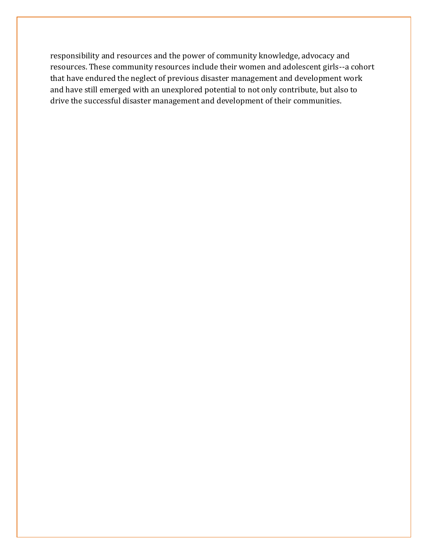responsibility and resources and the power of community knowledge, advocacy and resources. These community resources include their women and adolescent girls--a cohort that have endured the neglect of previous disaster management and development work and have still emerged with an unexplored potential to not only contribute, but also to drive the successful disaster management and development of their communities.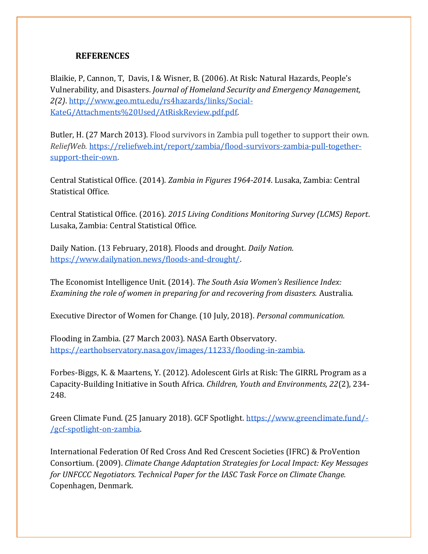# **REFERENCES**

Blaikie, P, Cannon, T, Davis, I & Wisner, B. (2006). At Risk: Natural Hazards, People's Vulnerability, and Disasters. *Journal of Homeland Security and Emergency Management, 2(2)*[. http://www.geo.mtu.edu/rs4hazards/links/Social-](http://www.geo.mtu.edu/rs4hazards/links/Social-KateG/Attachments%20Used/AtRiskReview.pdf.pdf)[KateG/Attachments%20Used/AtRiskReview.pdf.pdf.](http://www.geo.mtu.edu/rs4hazards/links/Social-KateG/Attachments%20Used/AtRiskReview.pdf.pdf)

Butler, H. (27 March 2013). Flood survivors in Zambia pull together to support their own. *ReliefWeb.* [https://reliefweb.int/report/zambia/flood-survivors-zambia-pull-together](https://reliefweb.int/report/zambia/flood-survivors-zambia-pull-together-support-their-own)[support-their-own.](https://reliefweb.int/report/zambia/flood-survivors-zambia-pull-together-support-their-own)

Central Statistical Office. (2014). *Zambia in Figures 1964-2014*. Lusaka, Zambia: Central Statistical Office.

Central Statistical Office. (2016). *2015 Living Conditions Monitoring Survey (LCMS) Report*. Lusaka, Zambia: Central Statistical Office.

Daily Nation. (13 February, 2018). Floods and drought. *Daily Nation.*  [https://www.dailynation.news/floods-and-drought/.](https://www.dailynation.news/floods-and-drought/)

The Economist Intelligence Unit. (2014). *The South Asia Women's Resilience Index: Examining the role of women in preparing for and recovering from disasters.* Australia.

Executive Director of Women for Change. (10 July, 2018). *Personal communication.*

Flooding in Zambia. (27 March 2003). NASA Earth Observatory. [https://earthobservatory.nasa.gov/images/11233/flooding-in-zambia.](https://earthobservatory.nasa.gov/images/11233/flooding-in-zambia)

Forbes-Biggs, K. & Maartens, Y. (2012). Adolescent Girls at Risk: The GIRRL Program as a Capacity-Building Initiative in South Africa. *Children, Youth and Environments, 22*(2), 234- 248.

Green Climate Fund. (25 January 2018). GCF Spotlight. [https://www.greenclimate.fund/-](https://www.greenclimate.fund/-/gcf-spotlight-on-zambia) [/gcf-spotlight-on-zambia.](https://www.greenclimate.fund/-/gcf-spotlight-on-zambia) 

International Federation Of Red Cross And Red Crescent Societies (IFRC) & ProVention Consortium. (2009). *Climate Change Adaptation Strategies for Local Impact: Key Messages for UNFCCC Negotiators. Technical Paper for the IASC Task Force on Climate Change.*  Copenhagen, Denmark.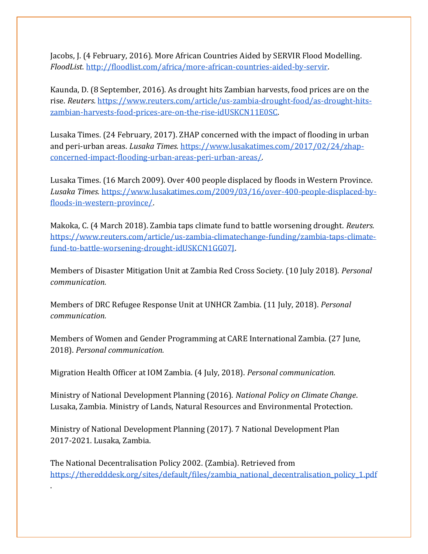Jacobs, J. (4 February, 2016). More African Countries Aided by SERVIR Flood Modelling. *FloodList.* [http://floodlist.com/africa/more-african-countries-aided-by-servir.](http://floodlist.com/africa/more-african-countries-aided-by-servir)

Kaunda, D. (8 September, 2016). As drought hits Zambian harvests, food prices are on the rise. *Reuters.* [https://www.reuters.com/article/us-zambia-drought-food/as-drought-hits](https://www.reuters.com/article/us-zambia-drought-food/as-drought-hits-zambian-harvests-food-prices-are-on-the-rise-idUSKCN11E0SC)[zambian-harvests-food-prices-are-on-the-rise-idUSKCN11E0SC.](https://www.reuters.com/article/us-zambia-drought-food/as-drought-hits-zambian-harvests-food-prices-are-on-the-rise-idUSKCN11E0SC)

Lusaka Times. (24 February, 2017). ZHAP concerned with the impact of flooding in urban and peri-urban areas. *Lusaka Times.* [https://www.lusakatimes.com/2017/02/24/zhap](https://www.lusakatimes.com/2017/02/24/zhap-concerned-impact-flooding-urban-areas-peri-urban-areas/)[concerned-impact-flooding-urban-areas-peri-urban-areas/](https://www.lusakatimes.com/2017/02/24/zhap-concerned-impact-flooding-urban-areas-peri-urban-areas/)*.*

Lusaka Times. (16 March 2009). Over 400 people displaced by floods in Western Province. *Lusaka Times.* [https://www.lusakatimes.com/2009/03/16/over-400-people-displaced-by](https://www.lusakatimes.com/2009/03/16/over-400-people-displaced-by-floods-in-western-province/)[floods-in-western-province/.](https://www.lusakatimes.com/2009/03/16/over-400-people-displaced-by-floods-in-western-province/)

Makoka, C. (4 March 2018). Zambia taps climate fund to battle worsening drought. *Reuters.*  [https://www.reuters.com/article/us-zambia-climatechange-funding/zambia-taps-climate](https://www.reuters.com/article/us-zambia-climatechange-funding/zambia-taps-climate-fund-to-battle-worsening-drought-idUSKCN1GG07J)[fund-to-battle-worsening-drought-idUSKCN1GG07J.](https://www.reuters.com/article/us-zambia-climatechange-funding/zambia-taps-climate-fund-to-battle-worsening-drought-idUSKCN1GG07J)

Members of Disaster Mitigation Unit at Zambia Red Cross Society. (10 July 2018). *Personal communication.*

Members of DRC Refugee Response Unit at UNHCR Zambia. (11 July, 2018). *Personal communication.*

Members of Women and Gender Programming at CARE International Zambia. (27 June, 2018). *Personal communication.*

Migration Health Officer at IOM Zambia. (4 July, 2018). *Personal communication.*

Ministry of National Development Planning (2016). *National Policy on Climate Change*. Lusaka, Zambia. Ministry of Lands, Natural Resources and Environmental Protection.

Ministry of National Development Planning (2017). 7 National Development Plan 2017-2021. Lusaka, Zambia.

.

The National Decentralisation Policy 2002. (Zambia). Retrieved from [https://theredddesk.org/sites/default/files/zambia\\_national\\_decentralisation\\_policy\\_1.pdf](https://theredddesk.org/sites/default/files/zambia_national_decentralisation_policy_1.pdf)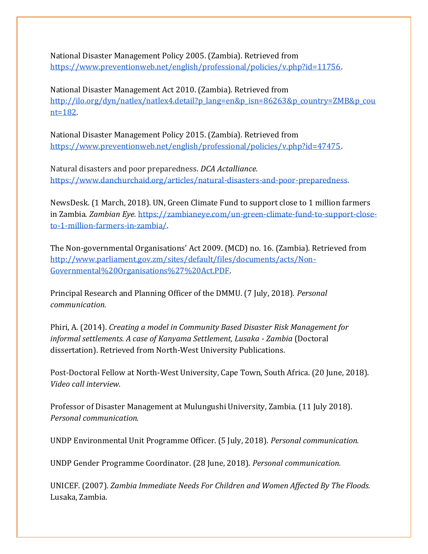National Disaster Management Policy 2005. (Zambia). Retrieved from [https://www.preventionweb.net/english/professional/policies/v.php?id=11756.](https://www.preventionweb.net/english/professional/policies/v.php?id=11756)

National Disaster Management Act 2010. (Zambia). Retrieved from [http://ilo.org/dyn/natlex/natlex4.detail?p\\_lang=en&p\\_isn=86263&p\\_country=ZMB&p\\_cou](http://ilo.org/dyn/natlex/natlex4.detail?p_lang=en&p_isn=86263&p_country=ZMB&p_count=182) [nt=182.](http://ilo.org/dyn/natlex/natlex4.detail?p_lang=en&p_isn=86263&p_country=ZMB&p_count=182)

National Disaster Management Policy 2015. (Zambia). Retrieved from [https://www.preventionweb.net/english/professional/policies/v.php?id=47475.](https://www.preventionweb.net/english/professional/policies/v.php?id=47475)

Natural disasters and poor preparedness. *DCA Actalliance.*  [https://www.danchurchaid.org/articles/natural-disasters-and-poor-preparedness.](https://www.danchurchaid.org/articles/natural-disasters-and-poor-preparedness)

NewsDesk. (1 March, 2018). UN, Green Climate Fund to support close to 1 million farmers in Zambia. *Zambian Eye.* [https://zambianeye.com/un-green-climate-fund-to-support-close](https://zambianeye.com/un-green-climate-fund-to-support-close-to-1-million-farmers-in-zambia/)[to-1-million-farmers-in-zambia/.](https://zambianeye.com/un-green-climate-fund-to-support-close-to-1-million-farmers-in-zambia/)

The Non-governmental Organisations' Act 2009. (MCD) no. 16. (Zambia). Retrieved from [http://www.parliament.gov.zm/sites/default/files/documents/acts/Non-](http://www.parliament.gov.zm/sites/default/files/documents/acts/Non-Governmental%20Organisations%27%20Act.PDF)[Governmental%20Organisations%27%20Act.PDF.](http://www.parliament.gov.zm/sites/default/files/documents/acts/Non-Governmental%20Organisations%27%20Act.PDF)

Principal Research and Planning Officer of the DMMU. (7 July, 2018). *Personal communication.*

Phiri, A. (2014). *Creating a model in Community Based Disaster Risk Management for informal settlements. A case of Kanyama Settlement, Lusaka - Zambia* (Doctoral dissertation). Retrieved from North-West University Publications.

Post-Doctoral Fellow at North-West University, Cape Town, South Africa. (20 June, 2018). *Video call interview.*

Professor of Disaster Management at Mulungushi University, Zambia. (11 July 2018). *Personal communication.*

UNDP Environmental Unit Programme Officer. (5 July, 2018). *Personal communication.*

UNDP Gender Programme Coordinator. (28 June, 2018). *Personal communication.*

UNICEF. (2007). *Zambia Immediate Needs For Children and Women Affected By The Floods.* Lusaka, Zambia.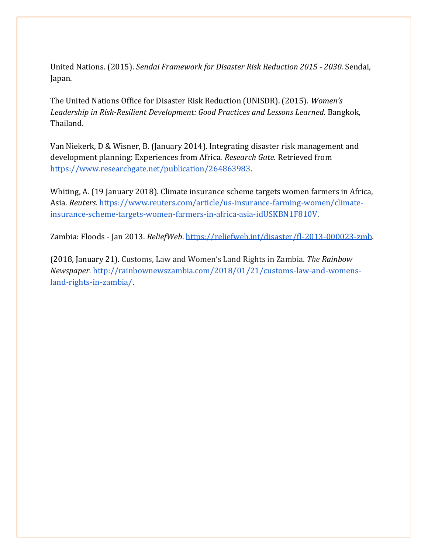United Nations. (2015). *Sendai Framework for Disaster Risk Reduction 2015 - 2030.* Sendai, Japan.

The United Nations Office for Disaster Risk Reduction (UNISDR). (2015). *Women's Leadership in Risk-Resilient Development: Good Practices and Lessons Learned.* Bangkok, Thailand.

Van Niekerk, D & Wisner, B. (January 2014). Integrating disaster risk management and development planning: Experiences from Africa. *Research Gate.* Retrieved from [https://www.researchgate.net/publication/264863983.](https://www.researchgate.net/publication/264863983)

Whiting, A. (19 January 2018). Climate insurance scheme targets women farmers in Africa, Asia. *Reuters.* [https://www.reuters.com/article/us-insurance-farming-women/climate](https://www.reuters.com/article/us-insurance-farming-women/climate-insurance-scheme-targets-women-farmers-in-africa-asia-idUSKBN1F810V)[insurance-scheme-targets-women-farmers-in-africa-asia-idUSKBN1F810V.](https://www.reuters.com/article/us-insurance-farming-women/climate-insurance-scheme-targets-women-farmers-in-africa-asia-idUSKBN1F810V)

Zambia: Floods - Jan 2013. *ReliefWeb*[. https://reliefweb.int/disaster/fl-2013-000023-zmb.](https://reliefweb.int/disaster/fl-2013-000023-zmb)

(2018, January 21). Customs, Law and Women's Land Rights in Zambia. *The Rainbow Newspaper.* [http://rainbownewszambia.com/2018/01/21/customs-law-and-womens](http://www.zm.undp.org/content/zambia/en/home/ourwork/environmentandenergy/in_depth.html)[land-rights-in-zambia/.](http://www.zm.undp.org/content/zambia/en/home/ourwork/environmentandenergy/in_depth.html)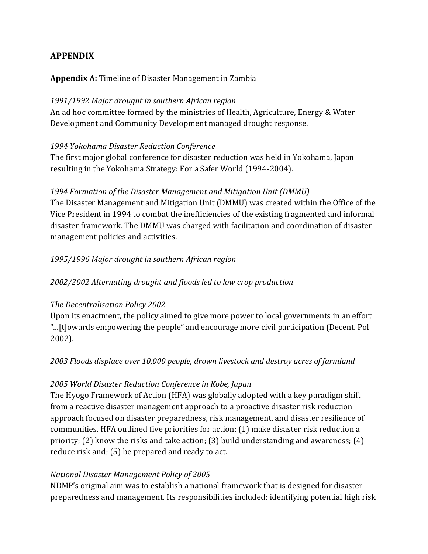# **APPENDIX**

### **Appendix A:** Timeline of Disaster Management in Zambia

### *1991/1992 Major drought in southern African region*

An ad hoc committee formed by the ministries of Health, Agriculture, Energy & Water Development and Community Development managed drought response.

# *1994 Yokohama Disaster Reduction Conference*

The first major global conference for disaster reduction was held in Yokohama, Japan resulting in the Yokohama Strategy: For a Safer World (1994-2004).

# *1994 Formation of the Disaster Management and Mitigation Unit (DMMU)*

The Disaster Management and Mitigation Unit (DMMU) was created within the Office of the Vice President in 1994 to combat the inefficiencies of the existing fragmented and informal disaster framework. The DMMU was charged with facilitation and coordination of disaster management policies and activities.

# *1995/1996 Major drought in southern African region*

*2002/2002 Alternating drought and floods led to low crop production* 

### *The Decentralisation Policy 2002*

Upon its enactment, the policy aimed to give more power to local governments in an effort "...[t]owards empowering the people" and encourage more civil participation (Decent. Pol 2002).

*2003 Floods displace over 10,000 people, drown livestock and destroy acres of farmland*

# *2005 World Disaster Reduction Conference in Kobe, Japan*

The Hyogo Framework of Action (HFA) was globally adopted with a key paradigm shift from a reactive disaster management approach to a proactive disaster risk reduction approach focused on disaster preparedness, risk management, and disaster resilience of communities. HFA outlined five priorities for action: (1) make disaster risk reduction a priority; (2) know the risks and take action; (3) build understanding and awareness; (4) reduce risk and; (5) be prepared and ready to act.

### *National Disaster Management Policy of 2005*

NDMP's original aim was to establish a national framework that is designed for disaster preparedness and management. Its responsibilities included: identifying potential high risk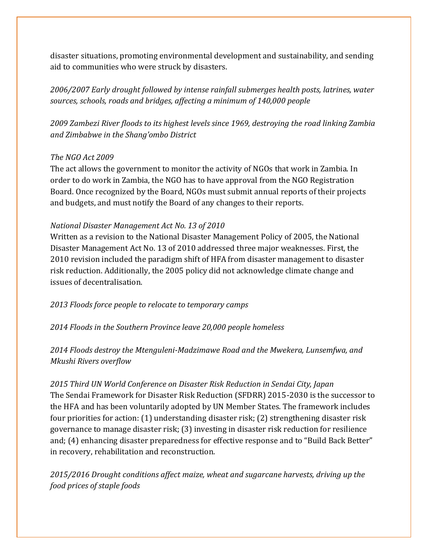disaster situations, promoting environmental development and sustainability, and sending aid to communities who were struck by disasters.

*2006/2007 Early drought followed by intense rainfall submerges health posts, latrines, water sources, schools, roads and bridges, affecting a minimum of 140,000 people* 

*2009 Zambezi River floods to its highest levels since 1969, destroying the road linking Zambia and Zimbabwe in the Shang'ombo District*

### *The NGO Act 2009*

The act allows the government to monitor the activity of NGOs that work in Zambia. In order to do work in Zambia, the NGO has to have approval from the NGO Registration Board. Once recognized by the Board, NGOs must submit annual reports of their projects and budgets, and must notify the Board of any changes to their reports.

### *National Disaster Management Act No. 13 of 2010*

Written as a revision to the National Disaster Management Policy of 2005, the National Disaster Management Act No. 13 of 2010 addressed three major weaknesses. First, the 2010 revision included the paradigm shift of HFA from disaster management to disaster risk reduction. Additionally, the 2005 policy did not acknowledge climate change and issues of decentralisation.

*2013 Floods force people to relocate to temporary camps*

*2014 Floods in the Southern Province leave 20,000 people homeless*

*2014 Floods destroy the Mtenguleni-Madzimawe Road and the Mwekera, Lunsemfwa, and Mkushi Rivers overflow* 

*2015 Third UN World Conference on Disaster Risk Reduction in Sendai City, Japan*  The Sendai Framework for Disaster Risk Reduction (SFDRR) 2015-2030 is the successor to the HFA and has been voluntarily adopted by UN Member States. The framework includes four priorities for action: (1) understanding disaster risk; (2) strengthening disaster risk governance to manage disaster risk; (3) investing in disaster risk reduction for resilience and; (4) enhancing disaster preparedness for effective response and to "Build Back Better" in recovery, rehabilitation and reconstruction.

*2015/2016 Drought conditions affect maize, wheat and sugarcane harvests, driving up the food prices of staple foods*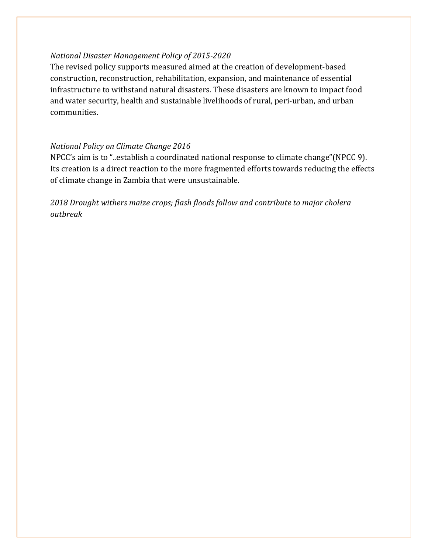### *National Disaster Management Policy of 2015-2020*

The revised policy supports measured aimed at the creation of development-based construction, reconstruction, rehabilitation, expansion, and maintenance of essential infrastructure to withstand natural disasters. These disasters are known to impact food and water security, health and sustainable livelihoods of rural, peri-urban, and urban communities.

### *National Policy on Climate Change 2016*

NPCC's aim is to "..establish a coordinated national response to climate change"(NPCC 9). Its creation is a direct reaction to the more fragmented efforts towards reducing the effects of climate change in Zambia that were unsustainable.

*2018 Drought withers maize crops; flash floods follow and contribute to major cholera outbreak*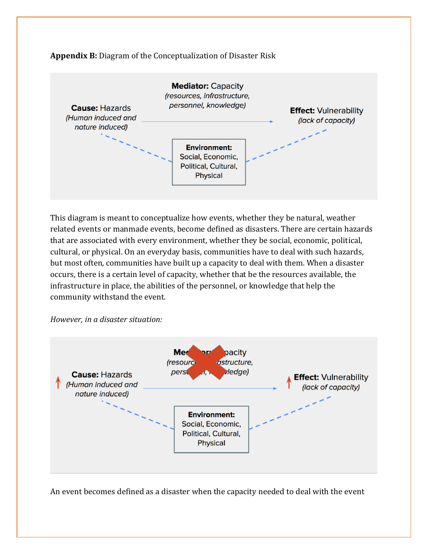**Appendix B:** Diagram of the Conceptualization of Disaster Risk



This diagram is meant to conceptualize how events, whether they be natural, weather related events or manmade events, become defined as disasters. There are certain hazards that are associated with every environment, whether they be social, economic, political, cultural, or physical. On an everyday basis, communities have to deal with such hazards, but most often, communities have built up a capacity to deal with them. When a disaster occurs, there is a certain level of capacity, whether that be the resources available, the infrastructure in place, the abilities of the personnel, or knowledge that help the community withstand the event.

*However, in a disaster situation:*



An event becomes defined as a disaster when the capacity needed to deal with the event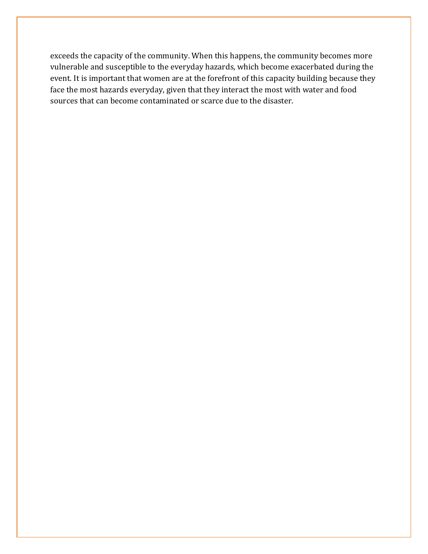exceeds the capacity of the community. When this happens, the community becomes more vulnerable and susceptible to the everyday hazards, which become exacerbated during the event. It is important that women are at the forefront of this capacity building because they face the most hazards everyday, given that they interact the most with water and food sources that can become contaminated or scarce due to the disaster.